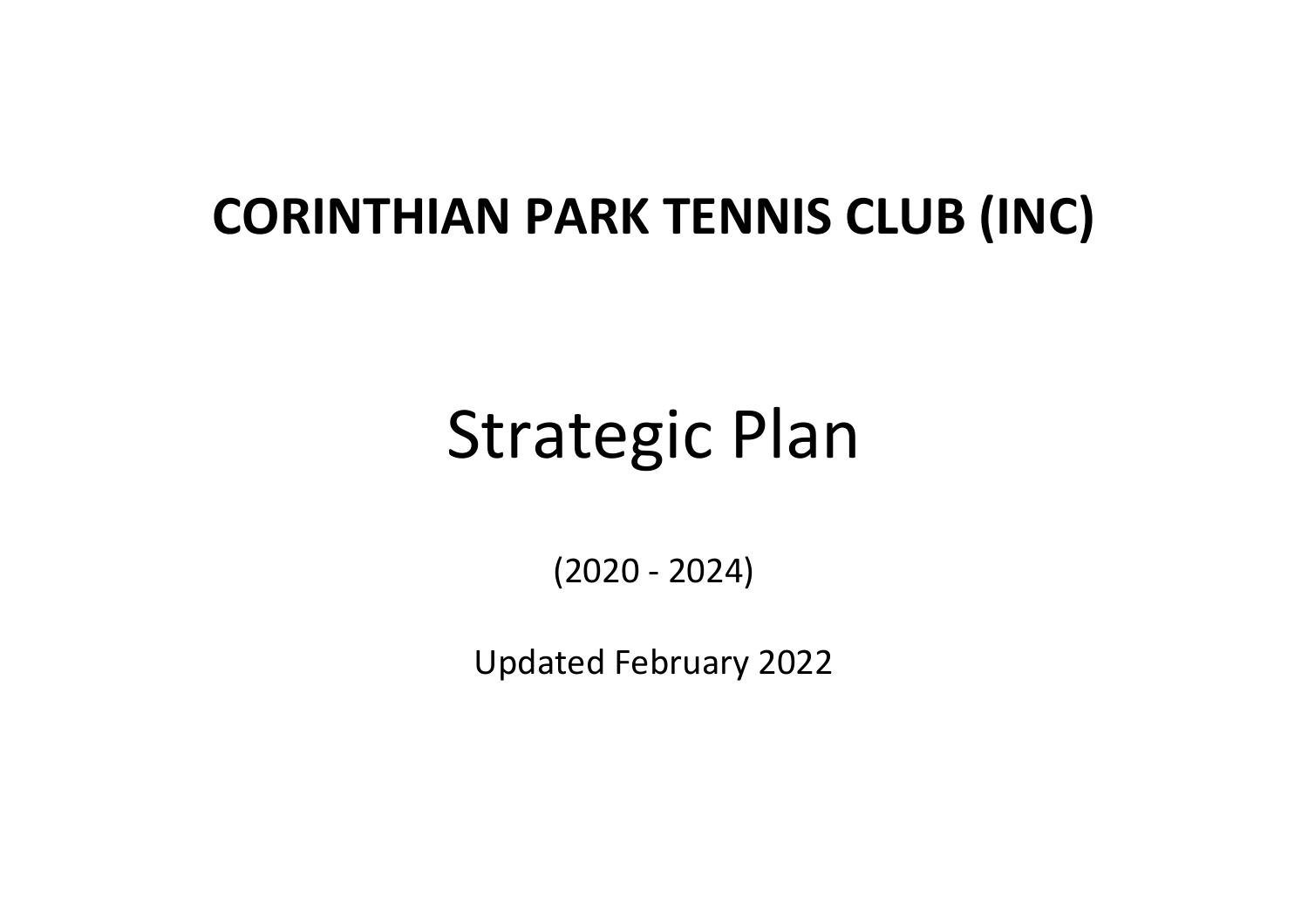## **CORINTHIAN PARK TENNIS CLUB (INC)**

# Strategic Plan

(2020 - 2024)

Updated February 2022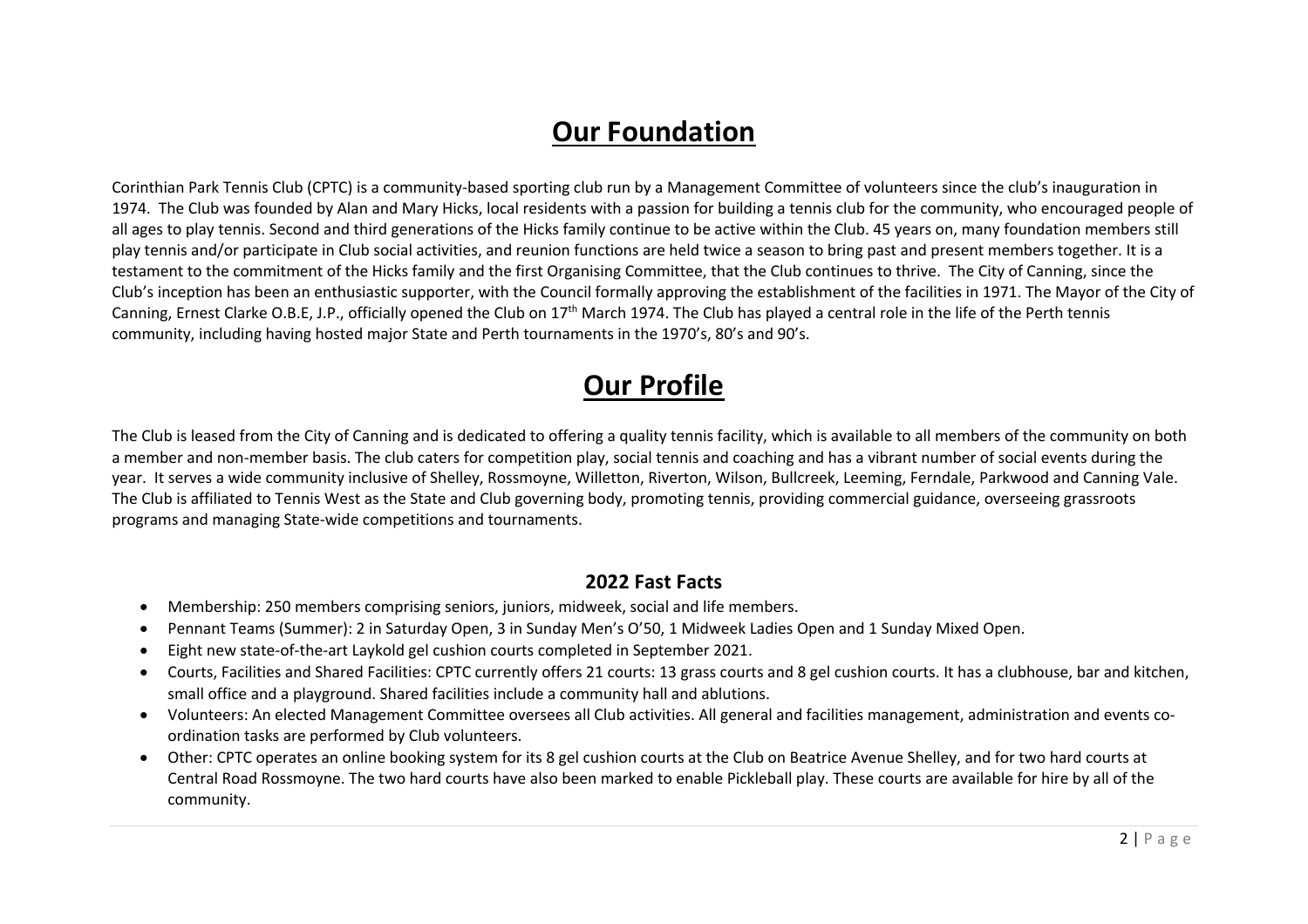## **Our Foundation**

Corinthian Park Tennis Club (CPTC) is a community-based sporting club run by a Management Committee of volunteers since the club's inauguration in 1974. The Club was founded by Alan and Mary Hicks, local residents with a passion for building a tennis club for the community, who encouraged people of all ages to play tennis. Second and third generations of the Hicks family continue to be active within the Club. 45 years on, many foundation members still play tennis and/or participate in Club social activities, and reunion functions are held twice a season to bring past and present members together. It is a testament to the commitment of the Hicks family and the first Organising Committee, that the Club continues to thrive. The City of Canning, since the Club's inception has been an enthusiastic supporter, with the Council formally approving the establishment of the facilities in 1971. The Mayor of the City of Canning, Ernest Clarke O.B.E, J.P., officially opened the Club on  $17<sup>th</sup>$  March 1974. The Club has played a central role in the life of the Perth tennis community, including having hosted major State and Perth tournaments in the 1970's, 80's and 90's.

## **Our Profile**

The Club is leased from the City of Canning and is dedicated to offering a quality tennis facility, which is available to all members of the community on both a member and non-member basis. The club caters for competition play, social tennis and coaching and has a vibrant number of social events during the year. It serves a wide community inclusive of Shelley, Rossmoyne, Willetton, Riverton, Wilson, Bullcreek, Leeming, Ferndale, Parkwood and Canning Vale. The Club is affiliated to Tennis West as the State and Club governing body, promoting tennis, providing commercial guidance, overseeing grassroots programs and managing State-wide competitions and tournaments.

#### **2022 Fast Facts**

- Membership: 250 members comprising seniors, juniors, midweek, social and life members.
- Pennant Teams (Summer): 2 in Saturday Open, 3 in Sunday Men's O'50, 1 Midweek Ladies Open and 1 Sunday Mixed Open.
- Eight new state-of-the-art Laykold gel cushion courts completed in September 2021.
- Courts, Facilities and Shared Facilities: CPTC currently offers 21 courts: 13 grass courts and 8 gel cushion courts. It has a clubhouse, bar and kitchen, small office and a playground. Shared facilities include a community hall and ablutions.
- Volunteers: An elected Management Committee oversees all Club activities. All general and facilities management, administration and events coordination tasks are performed by Club volunteers.
- Other: CPTC operates an online booking system for its 8 gel cushion courts at the Club on Beatrice Avenue Shelley, and for two hard courts at Central Road Rossmoyne. The two hard courts have also been marked to enable Pickleball play. These courts are available for hire by all of the community.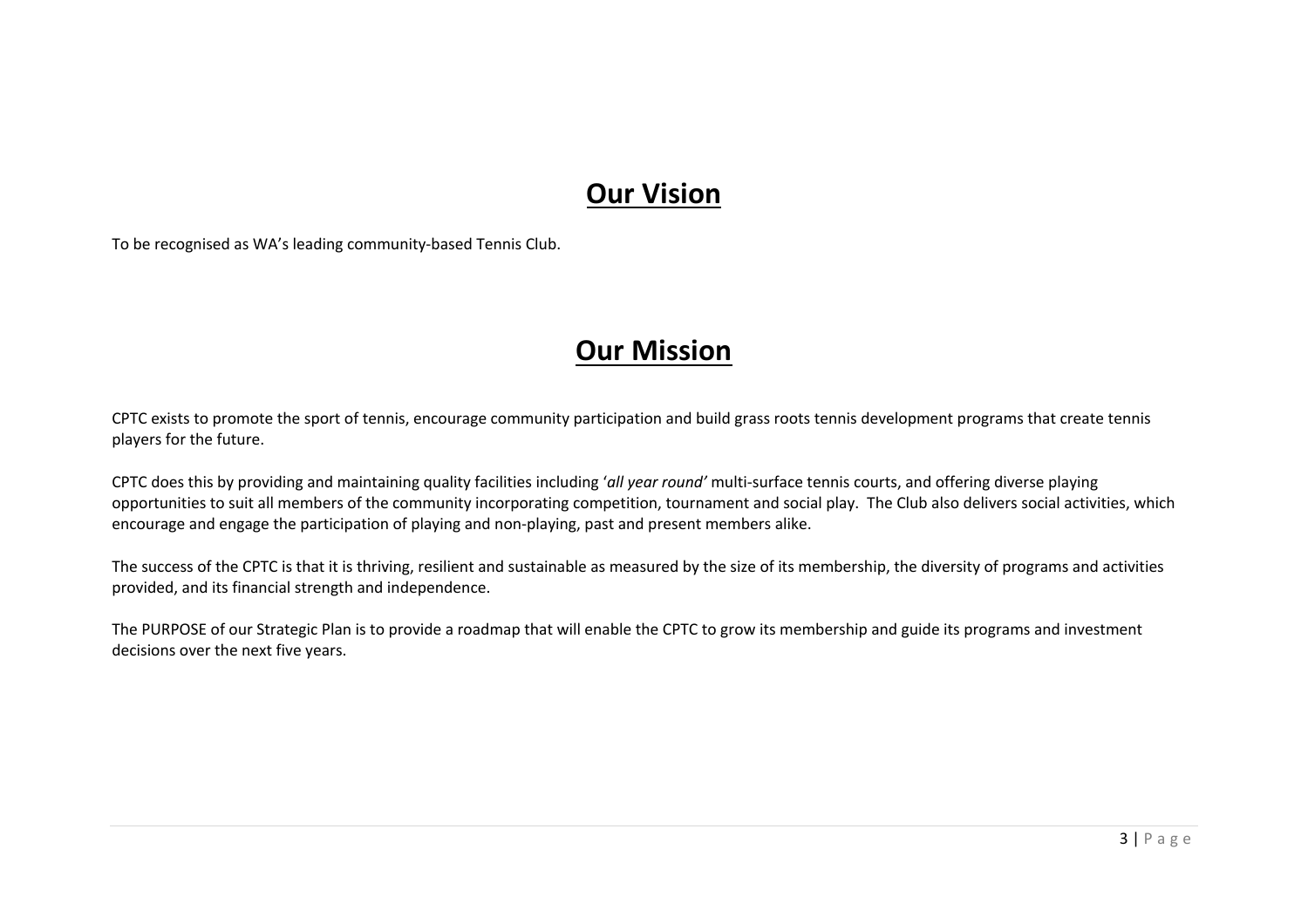## **Our Vision**

To be recognised as WA's leading community-based Tennis Club.

## **Our Mission**

CPTC exists to promote the sport of tennis, encourage community participation and build grass roots tennis development programs that create tennis players for the future.

CPTC does this by providing and maintaining quality facilities including '*all year round'* multi-surface tennis courts, and offering diverse playing opportunities to suit all members of the community incorporating competition, tournament and social play. The Club also delivers social activities, which encourage and engage the participation of playing and non-playing, past and present members alike.

The success of the CPTC is that it is thriving, resilient and sustainable as measured by the size of its membership, the diversity of programs and activities provided, and its financial strength and independence.

The PURPOSE of our Strategic Plan is to provide a roadmap that will enable the CPTC to grow its membership and guide its programs and investment decisions over the next five years.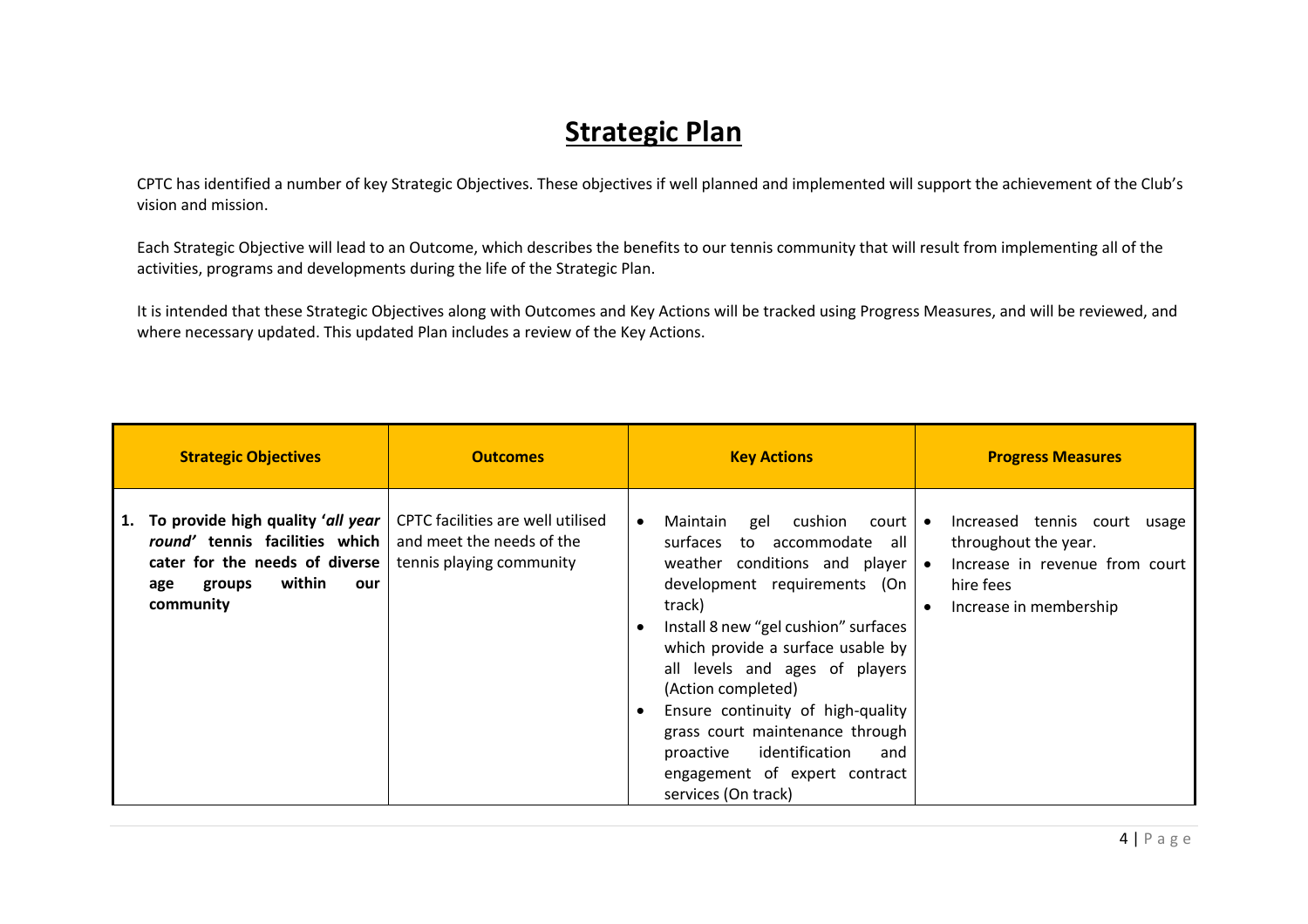## **Strategic Plan**

CPTC has identified a number of key Strategic Objectives. These objectives if well planned and implemented will support the achievement of the Club's vision and mission.

Each Strategic Objective will lead to an Outcome, which describes the benefits to our tennis community that will result from implementing all of the activities, programs and developments during the life of the Strategic Plan.

It is intended that these Strategic Objectives along with Outcomes and Key Actions will be tracked using Progress Measures, and will be reviewed, and where necessary updated. This updated Plan includes a review of the Key Actions.

| <b>Strategic Objectives</b>                                                                                                                                | <b>Outcomes</b>                                                                            | <b>Key Actions</b>                                                                                                                                                                                                                                                                                                                                                                                                                                                                                                  | <b>Progress Measures</b>                                                                                                      |
|------------------------------------------------------------------------------------------------------------------------------------------------------------|--------------------------------------------------------------------------------------------|---------------------------------------------------------------------------------------------------------------------------------------------------------------------------------------------------------------------------------------------------------------------------------------------------------------------------------------------------------------------------------------------------------------------------------------------------------------------------------------------------------------------|-------------------------------------------------------------------------------------------------------------------------------|
| To provide high quality 'all year<br>1.<br>round' tennis facilities which<br>cater for the needs of diverse<br>within<br>groups<br>our<br>age<br>community | CPTC facilities are well utilised<br>and meet the needs of the<br>tennis playing community | gel cushion<br>Maintain<br>$court \cdot$<br>$\bullet$<br>surfaces<br>to accommodate all l<br>weather conditions and player $\bullet$<br>development requirements (On<br>track)<br>Install 8 new "gel cushion" surfaces<br>$\bullet$<br>which provide a surface usable by<br>all levels and ages of players<br>(Action completed)<br>Ensure continuity of high-quality<br>$\bullet$<br>grass court maintenance through<br>identification<br>proactive<br>and<br>engagement of expert contract<br>services (On track) | Increased tennis court usage<br>throughout the year.<br>Increase in revenue from court<br>hire fees<br>Increase in membership |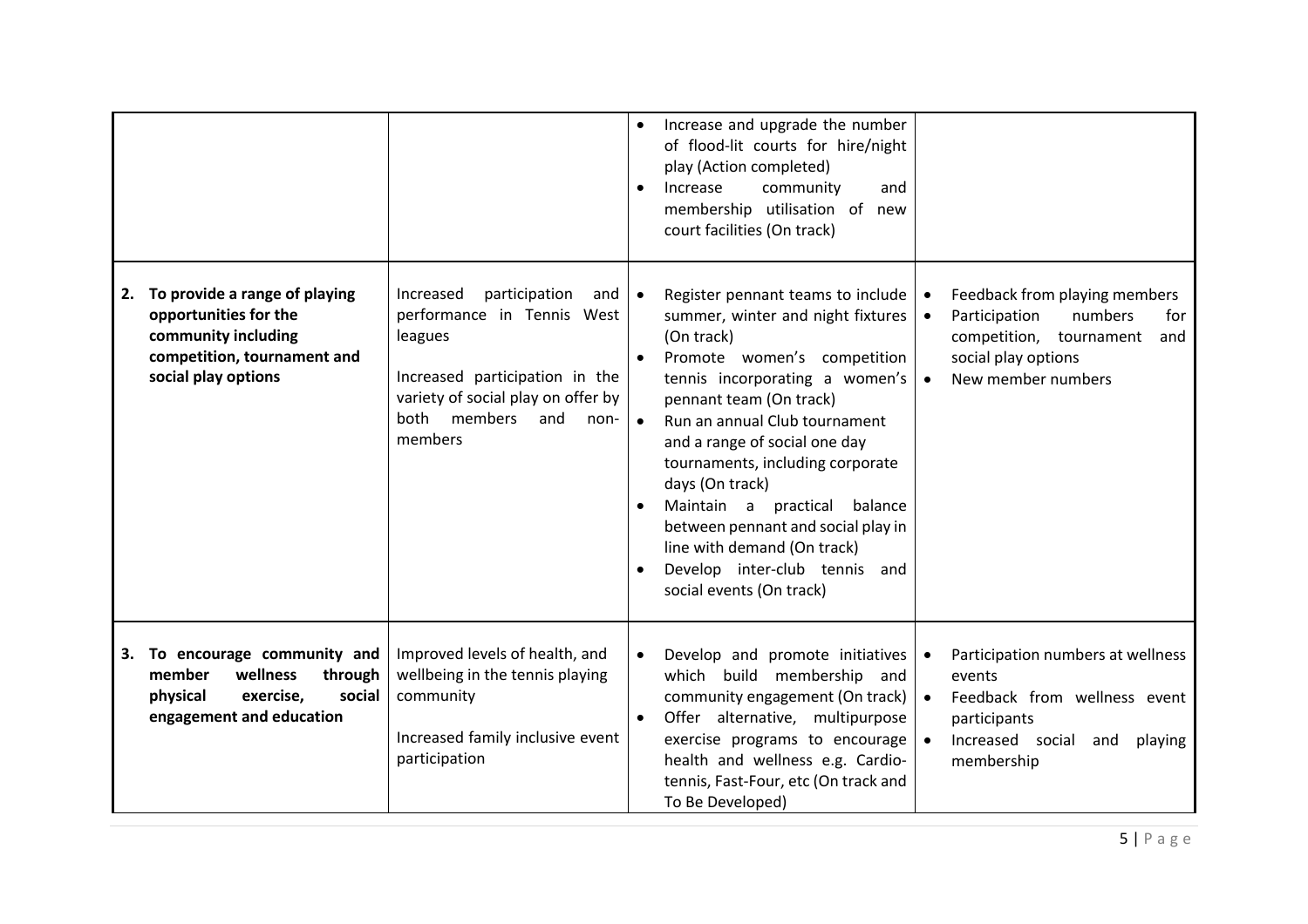|    |                                                                                                                                     |                                                                                                                                                                                              | Increase and upgrade the number<br>$\bullet$<br>of flood-lit courts for hire/night<br>play (Action completed)<br>community<br>Increase<br>and<br>$\bullet$<br>membership utilisation of new<br>court facilities (On track)                                                                                                                                                                                                                                                                                                                                                                                                                                                                                  |            |
|----|-------------------------------------------------------------------------------------------------------------------------------------|----------------------------------------------------------------------------------------------------------------------------------------------------------------------------------------------|-------------------------------------------------------------------------------------------------------------------------------------------------------------------------------------------------------------------------------------------------------------------------------------------------------------------------------------------------------------------------------------------------------------------------------------------------------------------------------------------------------------------------------------------------------------------------------------------------------------------------------------------------------------------------------------------------------------|------------|
| 2. | To provide a range of playing<br>opportunities for the<br>community including<br>competition, tournament and<br>social play options | participation<br>Increased<br>and<br>performance in Tennis West<br>leagues<br>Increased participation in the<br>variety of social play on offer by<br>both members<br>and<br>non-<br>members | Register pennant teams to include<br>Feedback from playing members<br>$\bullet$<br>$\bullet$<br>summer, winter and night fixtures<br>Participation<br>numbers<br>$\bullet$<br>(On track)<br>competition, tournament<br>Promote women's competition<br>social play options<br>$\bullet$<br>tennis incorporating a women's<br>New member numbers<br>$\bullet$<br>pennant team (On track)<br>Run an annual Club tournament<br>$\bullet$<br>and a range of social one day<br>tournaments, including corporate<br>days (On track)<br>Maintain a practical balance<br>$\bullet$<br>between pennant and social play in<br>line with demand (On track)<br>Develop inter-club tennis and<br>social events (On track) | for<br>and |
| 3. | To encourage community and<br>member<br>wellness<br>through<br>physical<br>exercise,<br>social<br>engagement and education          | Improved levels of health, and<br>wellbeing in the tennis playing<br>community<br>Increased family inclusive event<br>participation                                                          | Develop and promote initiatives<br>Participation numbers at wellness<br>$\bullet$<br>$\bullet$<br>which build membership and<br>events<br>community engagement (On track)<br>Feedback from wellness event<br>$\bullet$<br>Offer alternative, multipurpose<br>participants<br>$\bullet$<br>exercise programs to encourage<br>Increased social<br>$\bullet$<br>and<br>playing<br>health and wellness e.g. Cardio-<br>membership<br>tennis, Fast-Four, etc (On track and<br>To Be Developed)                                                                                                                                                                                                                   |            |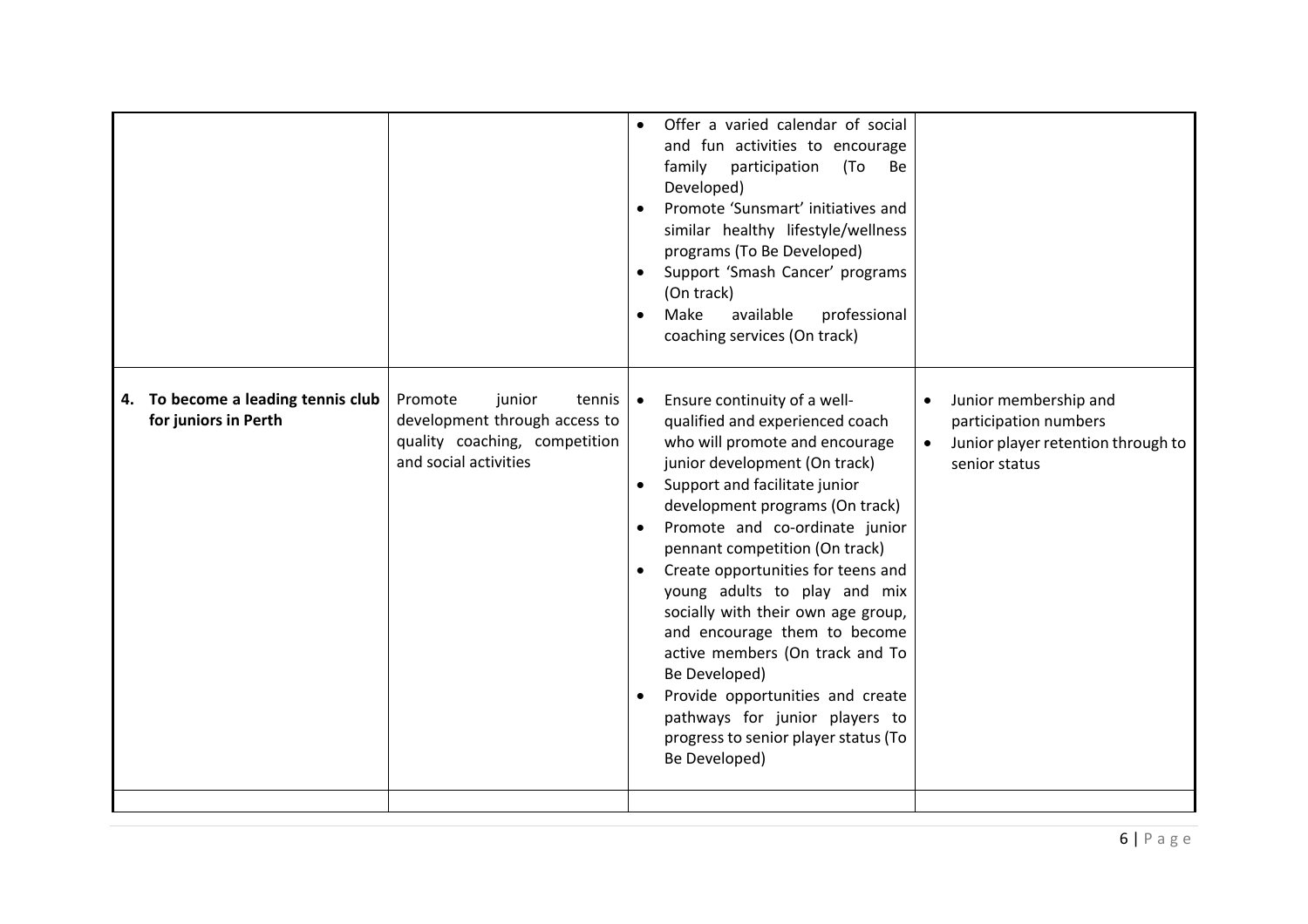| To become a leading tennis club<br>Promote<br>junior<br>Ensure continuity of a well-<br>Junior membership and<br>tennis<br>$\bullet$<br>4.<br>development through access to<br>for juniors in Perth<br>qualified and experienced coach<br>participation numbers<br>quality coaching, competition<br>who will promote and encourage<br>Junior player retention through to<br>$\bullet$<br>and social activities<br>junior development (On track)<br>senior status<br>Support and facilitate junior<br>development programs (On track)<br>Promote and co-ordinate junior<br>pennant competition (On track)<br>Create opportunities for teens and<br>young adults to play and mix<br>socially with their own age group,<br>and encourage them to become<br>active members (On track and To<br>Be Developed)<br>Provide opportunities and create<br>pathways for junior players to<br>progress to senior player status (To<br>Be Developed) |  | $\bullet$<br>$\bullet$ | Offer a varied calendar of social<br>and fun activities to encourage<br>family<br>participation<br>(To<br>Be<br>Developed)<br>Promote 'Sunsmart' initiatives and<br>similar healthy lifestyle/wellness<br>programs (To Be Developed)<br>Support 'Smash Cancer' programs<br>(On track)<br>Make<br>available<br>professional<br>coaching services (On track) |  |
|-----------------------------------------------------------------------------------------------------------------------------------------------------------------------------------------------------------------------------------------------------------------------------------------------------------------------------------------------------------------------------------------------------------------------------------------------------------------------------------------------------------------------------------------------------------------------------------------------------------------------------------------------------------------------------------------------------------------------------------------------------------------------------------------------------------------------------------------------------------------------------------------------------------------------------------------|--|------------------------|------------------------------------------------------------------------------------------------------------------------------------------------------------------------------------------------------------------------------------------------------------------------------------------------------------------------------------------------------------|--|
|                                                                                                                                                                                                                                                                                                                                                                                                                                                                                                                                                                                                                                                                                                                                                                                                                                                                                                                                         |  |                        |                                                                                                                                                                                                                                                                                                                                                            |  |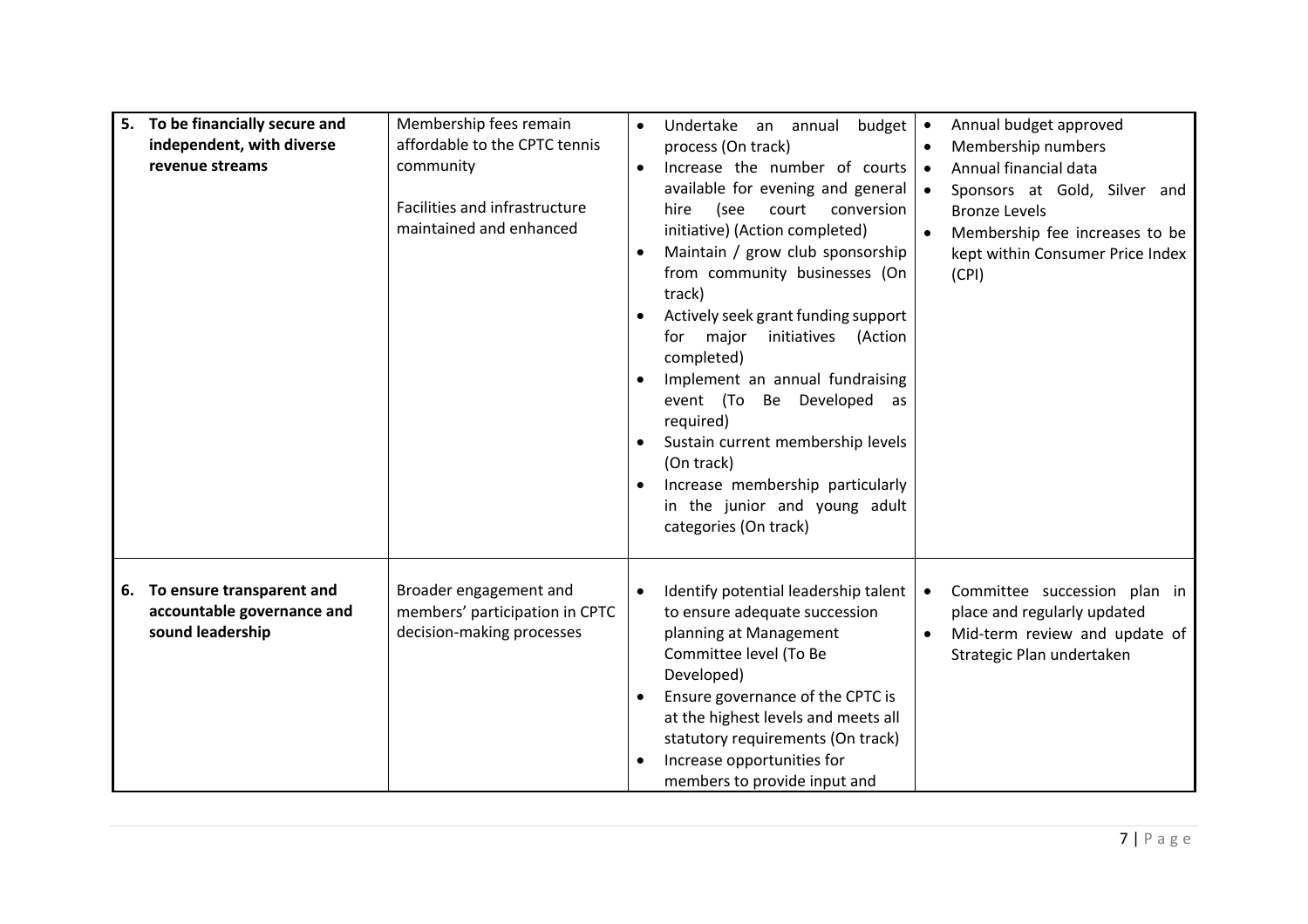| 5. To be financially secure and<br>independent, with diverse<br>revenue streams   | Membership fees remain<br>affordable to the CPTC tennis<br>community<br>Facilities and infrastructure<br>maintained and enhanced | budget<br>Undertake an annual<br>$\bullet$<br>process (On track)<br>Increase the number of courts<br>$\bullet$<br>available for evening and general<br>(see<br>court<br>conversion<br>hire<br>initiative) (Action completed)<br>Maintain / grow club sponsorship<br>from community businesses (On<br>track)<br>Actively seek grant funding support<br>major<br>initiatives (Action<br>for<br>completed)<br>Implement an annual fundraising<br>event (To Be Developed as<br>required)<br>Sustain current membership levels<br>(On track)<br>Increase membership particularly<br>٠<br>in the junior and young adult<br>categories (On track) | Annual budget approved<br>$\bullet$<br>Membership numbers<br>$\bullet$<br>Annual financial data<br>$\bullet$<br>Sponsors at Gold, Silver and<br>$\bullet$<br><b>Bronze Levels</b><br>$\bullet$<br>Membership fee increases to be<br>kept within Consumer Price Index<br>(CPI) |
|-----------------------------------------------------------------------------------|----------------------------------------------------------------------------------------------------------------------------------|--------------------------------------------------------------------------------------------------------------------------------------------------------------------------------------------------------------------------------------------------------------------------------------------------------------------------------------------------------------------------------------------------------------------------------------------------------------------------------------------------------------------------------------------------------------------------------------------------------------------------------------------|-------------------------------------------------------------------------------------------------------------------------------------------------------------------------------------------------------------------------------------------------------------------------------|
| To ensure transparent and<br>6.<br>accountable governance and<br>sound leadership | Broader engagement and<br>members' participation in CPTC<br>decision-making processes                                            | Identify potential leadership talent<br>$\bullet$<br>to ensure adequate succession<br>planning at Management<br>Committee level (To Be<br>Developed)<br>Ensure governance of the CPTC is<br>$\bullet$<br>at the highest levels and meets all<br>statutory requirements (On track)<br>Increase opportunities for<br>members to provide input and                                                                                                                                                                                                                                                                                            | Committee succession plan in<br>$\bullet$<br>place and regularly updated<br>Mid-term review and update of<br>$\bullet$<br>Strategic Plan undertaken                                                                                                                           |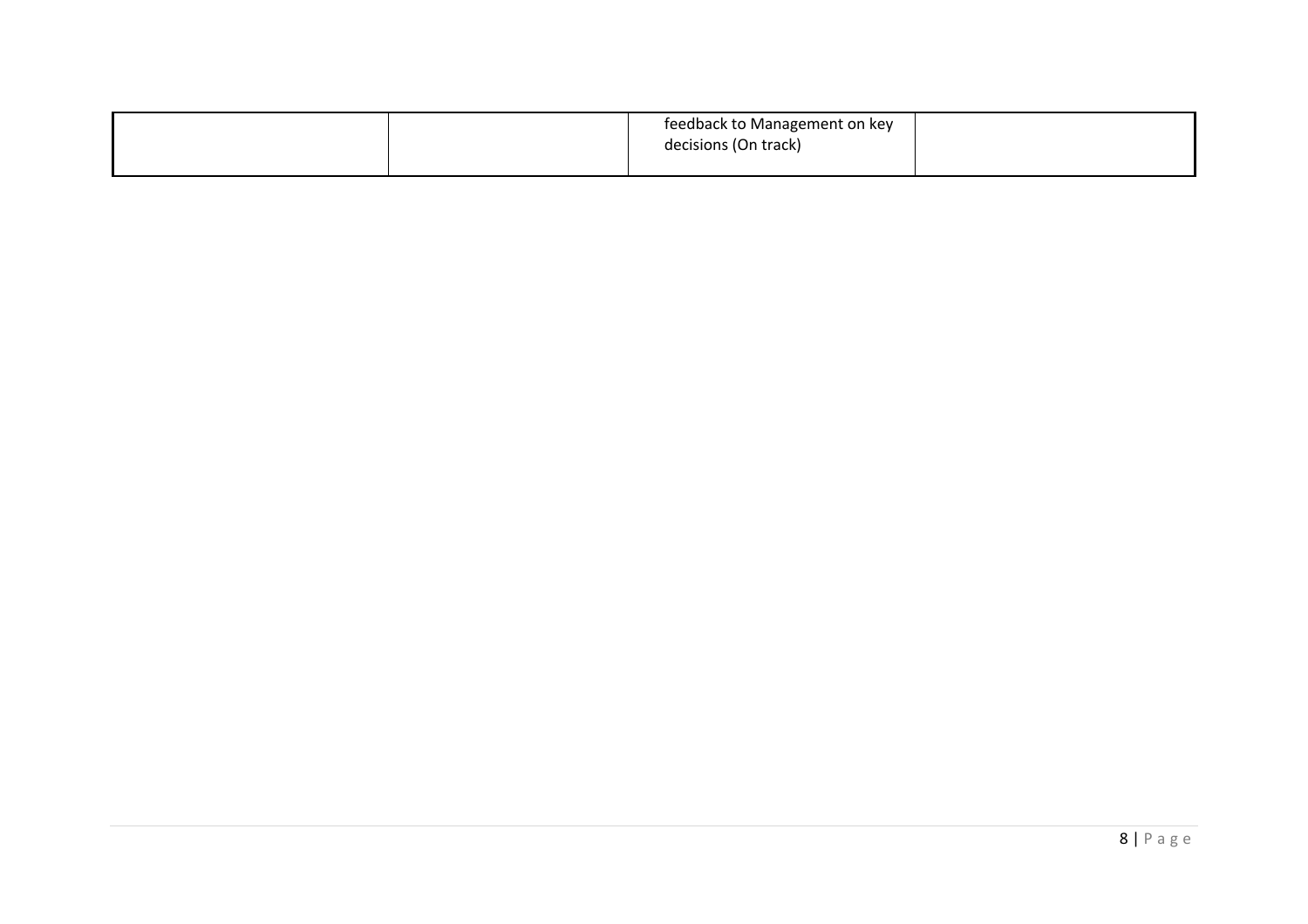|  | feedback to Management on key |  |
|--|-------------------------------|--|
|  | decisions (On track)          |  |
|  |                               |  |